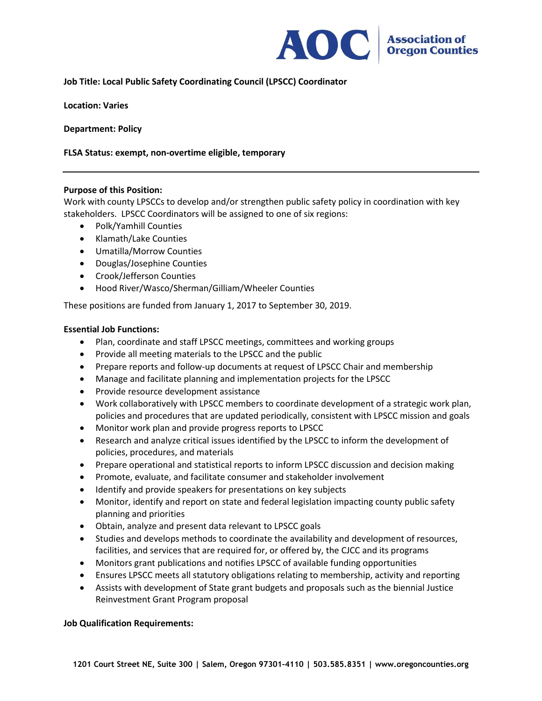

# **Job Title: Local Public Safety Coordinating Council (LPSCC) Coordinator**

**Location: Varies**

**Department: Policy**

### **FLSA Status: exempt, non-overtime eligible, temporary**

### **Purpose of this Position:**

Work with county LPSCCs to develop and/or strengthen public safety policy in coordination with key stakeholders. LPSCC Coordinators will be assigned to one of six regions:

- Polk/Yamhill Counties
- Klamath/Lake Counties
- Umatilla/Morrow Counties
- Douglas/Josephine Counties
- Crook/Jefferson Counties
- Hood River/Wasco/Sherman/Gilliam/Wheeler Counties

These positions are funded from January 1, 2017 to September 30, 2019.

#### **Essential Job Functions:**

- Plan, coordinate and staff LPSCC meetings, committees and working groups
- Provide all meeting materials to the LPSCC and the public
- Prepare reports and follow-up documents at request of LPSCC Chair and membership
- Manage and facilitate planning and implementation projects for the LPSCC
- Provide resource development assistance
- Work collaboratively with LPSCC members to coordinate development of a strategic work plan, policies and procedures that are updated periodically, consistent with LPSCC mission and goals
- Monitor work plan and provide progress reports to LPSCC
- Research and analyze critical issues identified by the LPSCC to inform the development of policies, procedures, and materials
- Prepare operational and statistical reports to inform LPSCC discussion and decision making
- Promote, evaluate, and facilitate consumer and stakeholder involvement
- Identify and provide speakers for presentations on key subjects
- Monitor, identify and report on state and federal legislation impacting county public safety planning and priorities
- Obtain, analyze and present data relevant to LPSCC goals
- Studies and develops methods to coordinate the availability and development of resources, facilities, and services that are required for, or offered by, the CJCC and its programs
- Monitors grant publications and notifies LPSCC of available funding opportunities
- Ensures LPSCC meets all statutory obligations relating to membership, activity and reporting
- Assists with development of State grant budgets and proposals such as the biennial Justice Reinvestment Grant Program proposal

#### **Job Qualification Requirements:**